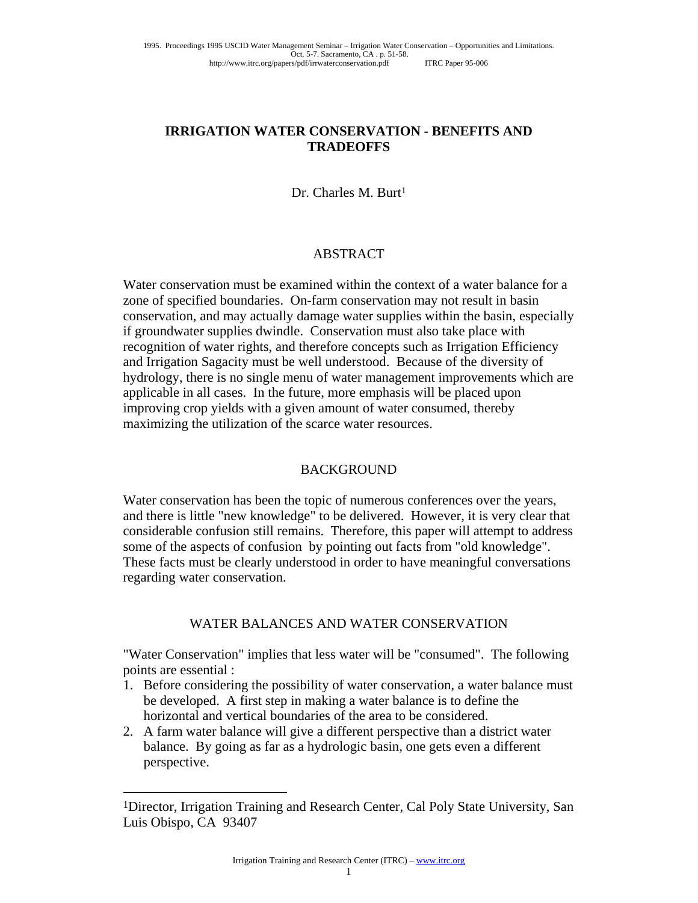### **IRRIGATION WATER CONSERVATION - BENEFITS AND TRADEOFFS**

Dr. Charles M. Burt<sup>1</sup>

#### ABSTRACT

Water conservation must be examined within the context of a water balance for a zone of specified boundaries. On-farm conservation may not result in basin conservation, and may actually damage water supplies within the basin, especially if groundwater supplies dwindle. Conservation must also take place with recognition of water rights, and therefore concepts such as Irrigation Efficiency and Irrigation Sagacity must be well understood. Because of the diversity of hydrology, there is no single menu of water management improvements which are applicable in all cases. In the future, more emphasis will be placed upon improving crop yields with a given amount of water consumed, thereby maximizing the utilization of the scarce water resources.

#### BACKGROUND

Water conservation has been the topic of numerous conferences over the years, and there is little "new knowledge" to be delivered. However, it is very clear that considerable confusion still remains. Therefore, this paper will attempt to address some of the aspects of confusion by pointing out facts from "old knowledge". These facts must be clearly understood in order to have meaningful conversations regarding water conservation.

#### WATER BALANCES AND WATER CONSERVATION

"Water Conservation" implies that less water will be "consumed". The following points are essential :

- 1. Before considering the possibility of water conservation, a water balance must be developed. A first step in making a water balance is to define the horizontal and vertical boundaries of the area to be considered.
- 2. A farm water balance will give a different perspective than a district water balance. By going as far as a hydrologic basin, one gets even a different perspective.

 $\overline{a}$ 

<sup>1</sup>Director, Irrigation Training and Research Center, Cal Poly State University, San Luis Obispo, CA 93407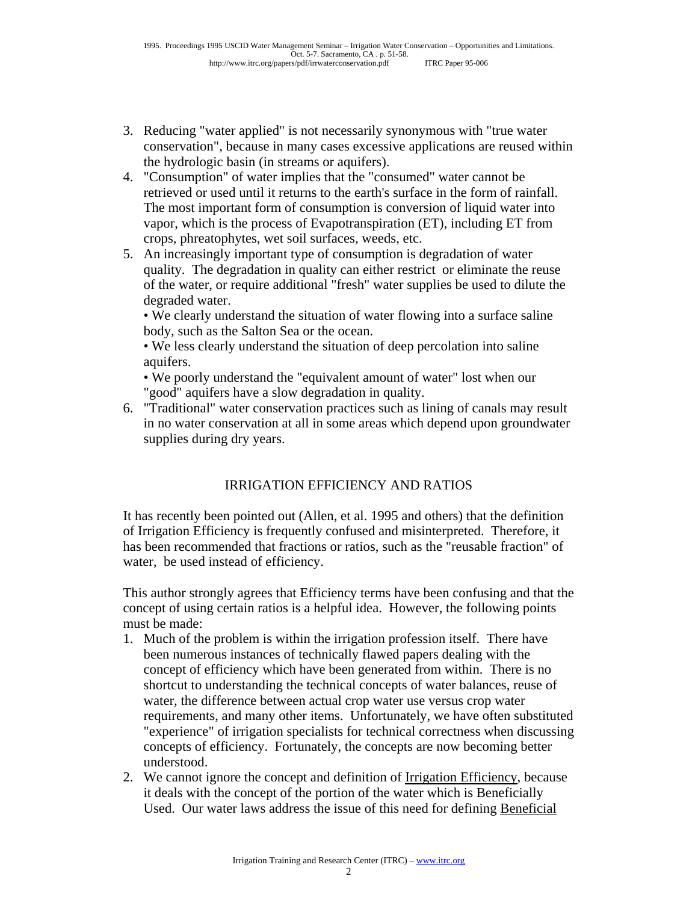- 3. Reducing "water applied" is not necessarily synonymous with "true water conservation", because in many cases excessive applications are reused within the hydrologic basin (in streams or aquifers).
- 4. "Consumption" of water implies that the "consumed" water cannot be retrieved or used until it returns to the earth's surface in the form of rainfall. The most important form of consumption is conversion of liquid water into vapor, which is the process of Evapotranspiration (ET), including ET from crops, phreatophytes, wet soil surfaces, weeds, etc.
- 5. An increasingly important type of consumption is degradation of water quality. The degradation in quality can either restrict or eliminate the reuse of the water, or require additional "fresh" water supplies be used to dilute the degraded water.

 • We clearly understand the situation of water flowing into a surface saline body, such as the Salton Sea or the ocean.

 • We less clearly understand the situation of deep percolation into saline aquifers.

 • We poorly understand the "equivalent amount of water" lost when our "good" aquifers have a slow degradation in quality.

6. "Traditional" water conservation practices such as lining of canals may result in no water conservation at all in some areas which depend upon groundwater supplies during dry years.

# IRRIGATION EFFICIENCY AND RATIOS

It has recently been pointed out (Allen, et al. 1995 and others) that the definition of Irrigation Efficiency is frequently confused and misinterpreted. Therefore, it has been recommended that fractions or ratios, such as the "reusable fraction" of water, be used instead of efficiency.

This author strongly agrees that Efficiency terms have been confusing and that the concept of using certain ratios is a helpful idea. However, the following points must be made:

- 1. Much of the problem is within the irrigation profession itself. There have been numerous instances of technically flawed papers dealing with the concept of efficiency which have been generated from within. There is no shortcut to understanding the technical concepts of water balances, reuse of water, the difference between actual crop water use versus crop water requirements, and many other items. Unfortunately, we have often substituted "experience" of irrigation specialists for technical correctness when discussing concepts of efficiency. Fortunately, the concepts are now becoming better understood.
- 2. We cannot ignore the concept and definition of Irrigation Efficiency, because it deals with the concept of the portion of the water which is Beneficially Used. Our water laws address the issue of this need for defining Beneficial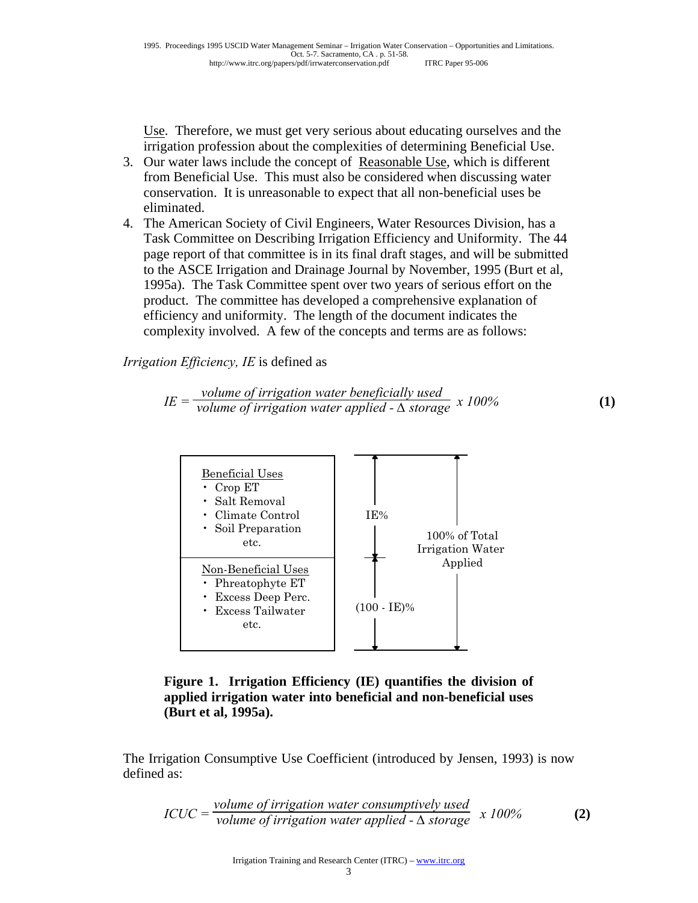Use. Therefore, we must get very serious about educating ourselves and the irrigation profession about the complexities of determining Beneficial Use.

- 3. Our water laws include the concept of Reasonable Use, which is different from Beneficial Use. This must also be considered when discussing water conservation. It is unreasonable to expect that all non-beneficial uses be eliminated.
- 4. The American Society of Civil Engineers, Water Resources Division, has a Task Committee on Describing Irrigation Efficiency and Uniformity. The 44 page report of that committee is in its final draft stages, and will be submitted to the ASCE Irrigation and Drainage Journal by November, 1995 (Burt et al, 1995a). The Task Committee spent over two years of serious effort on the product. The committee has developed a comprehensive explanation of efficiency and uniformity. The length of the document indicates the complexity involved. A few of the concepts and terms are as follows:

*Irrigation Efficiency, IE* is defined as

$$
IE = \frac{volume \ of \ irrigation \ water \ beneficially \ used}{volume \ of \ irrigation \ water \ applied - \Delta \ storage} \ x \ 100\%
$$
 (1)



**Figure 1. Irrigation Efficiency (IE) quantifies the division of applied irrigation water into beneficial and non-beneficial uses (Burt et al, 1995a).**

The Irrigation Consumptive Use Coefficient (introduced by Jensen, 1993) is now defined as:

$$
ICUC = \frac{volume \ of \ (irrigation \ water \ consumption \ used}{volume \ of \ (irrigation \ water \ applied - \Delta \ storage} \ x \ 100\%
$$
 (2)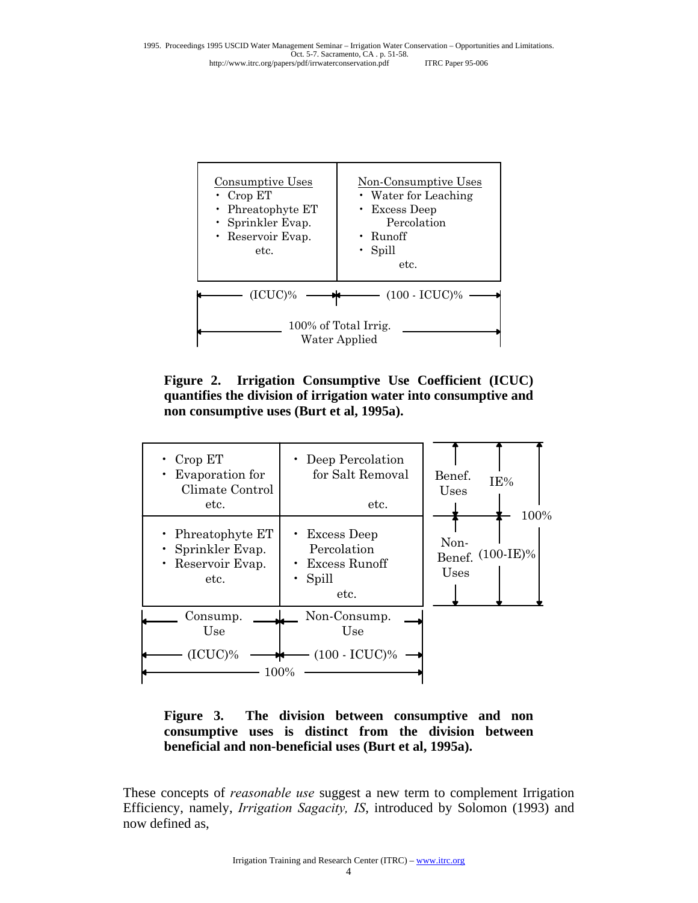

**Figure 2. Irrigation Consumptive Use Coefficient (ICUC) quantifies the division of irrigation water into consumptive and non consumptive uses (Burt et al, 1995a).**

| Crop ET<br>Evaporation for<br>Climate Control<br>etc.                  | Deep Percolation<br>for Salt Removal<br>etc.                                           | Benef.<br>IE%<br>Uses                    |
|------------------------------------------------------------------------|----------------------------------------------------------------------------------------|------------------------------------------|
| • Phreatophyte $ET$<br>Sprinkler Evap.<br>Reservoir Evap.<br>٠<br>etc. | $\cdot$ Excess Deep<br>Percolation<br>Excess Runoff<br>$\bullet$<br>Spill<br>٠<br>etc. | 100%<br>Non-<br>Benef. (100-IE)%<br>Uses |
| Consump.<br>Use                                                        | Non-Consump.<br>Use                                                                    |                                          |
| $(ICUC)\%$<br>₩<br>100%                                                |                                                                                        |                                          |

**Figure 3. The division between consumptive and non consumptive uses is distinct from the division between beneficial and non-beneficial uses (Burt et al, 1995a).** 

These concepts of *reasonable use* suggest a new term to complement Irrigation Efficiency, namely, *Irrigation Sagacity, IS*, introduced by Solomon (1993) and now defined as,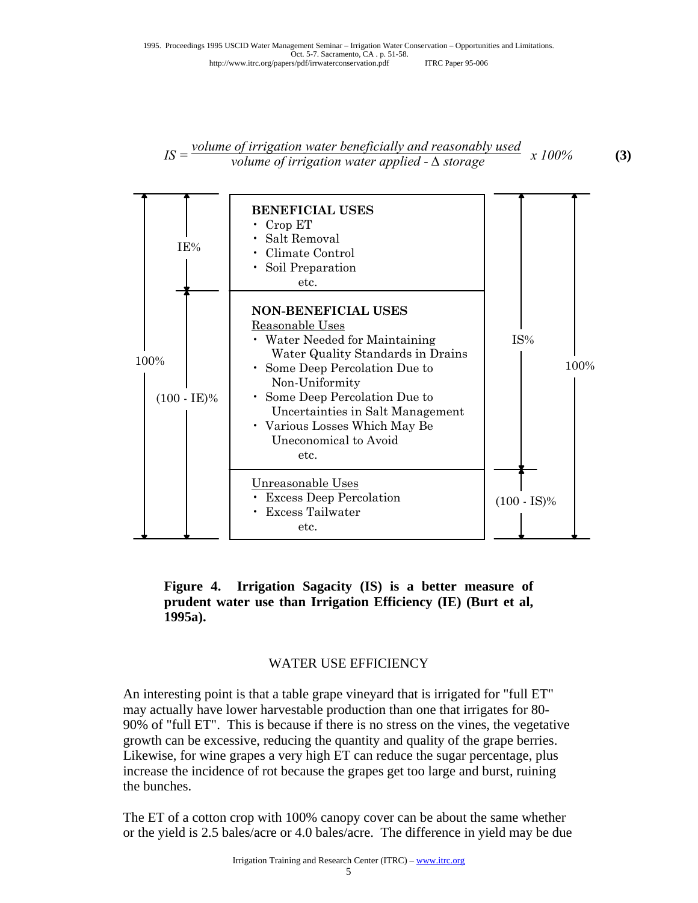## *IS = volume of irrigation water beneficially and reasonably used volume of irrigation water applied -*  $\triangle$  *storage x 100%* **(3)**



**Figure 4. Irrigation Sagacity (IS) is a better measure of prudent water use than Irrigation Efficiency (IE) (Burt et al, 1995a).** 

#### WATER USE EFFICIENCY

An interesting point is that a table grape vineyard that is irrigated for "full ET" may actually have lower harvestable production than one that irrigates for 80- 90% of "full ET". This is because if there is no stress on the vines, the vegetative growth can be excessive, reducing the quantity and quality of the grape berries. Likewise, for wine grapes a very high ET can reduce the sugar percentage, plus increase the incidence of rot because the grapes get too large and burst, ruining the bunches.

The ET of a cotton crop with 100% canopy cover can be about the same whether or the yield is 2.5 bales/acre or 4.0 bales/acre. The difference in yield may be due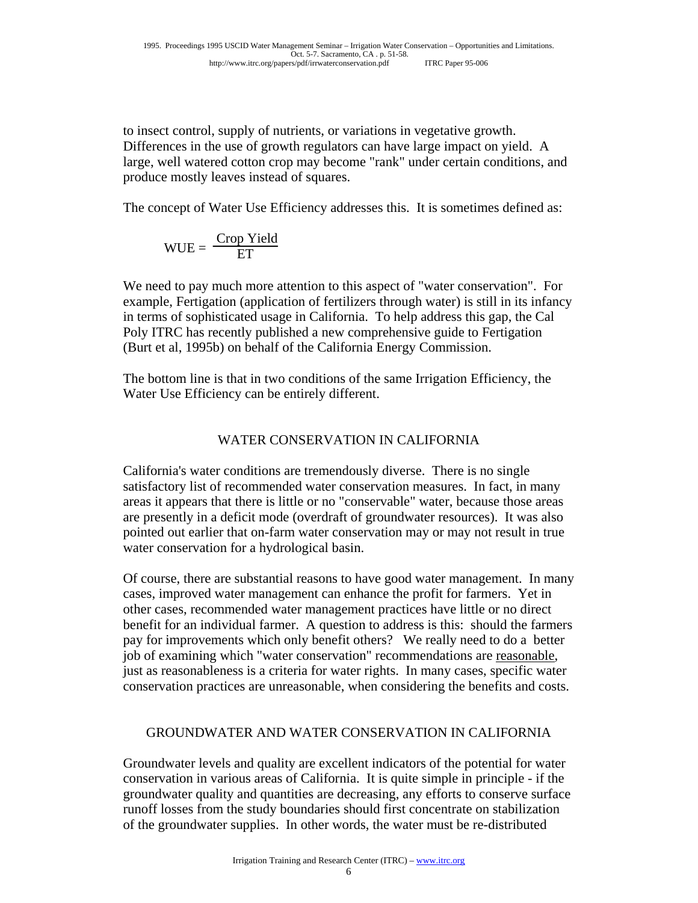to insect control, supply of nutrients, or variations in vegetative growth. Differences in the use of growth regulators can have large impact on yield. A large, well watered cotton crop may become "rank" under certain conditions, and produce mostly leaves instead of squares.

The concept of Water Use Efficiency addresses this. It is sometimes defined as:

$$
WUE = \frac{Crop Yield}{ET}
$$

We need to pay much more attention to this aspect of "water conservation". For example, Fertigation (application of fertilizers through water) is still in its infancy in terms of sophisticated usage in California. To help address this gap, the Cal Poly ITRC has recently published a new comprehensive guide to Fertigation (Burt et al, 1995b) on behalf of the California Energy Commission.

The bottom line is that in two conditions of the same Irrigation Efficiency, the Water Use Efficiency can be entirely different.

## WATER CONSERVATION IN CALIFORNIA

California's water conditions are tremendously diverse. There is no single satisfactory list of recommended water conservation measures. In fact, in many areas it appears that there is little or no "conservable" water, because those areas are presently in a deficit mode (overdraft of groundwater resources). It was also pointed out earlier that on-farm water conservation may or may not result in true water conservation for a hydrological basin.

Of course, there are substantial reasons to have good water management. In many cases, improved water management can enhance the profit for farmers. Yet in other cases, recommended water management practices have little or no direct benefit for an individual farmer. A question to address is this: should the farmers pay for improvements which only benefit others? We really need to do a better job of examining which "water conservation" recommendations are reasonable, just as reasonableness is a criteria for water rights. In many cases, specific water conservation practices are unreasonable, when considering the benefits and costs.

## GROUNDWATER AND WATER CONSERVATION IN CALIFORNIA

Groundwater levels and quality are excellent indicators of the potential for water conservation in various areas of California. It is quite simple in principle - if the groundwater quality and quantities are decreasing, any efforts to conserve surface runoff losses from the study boundaries should first concentrate on stabilization of the groundwater supplies. In other words, the water must be re-distributed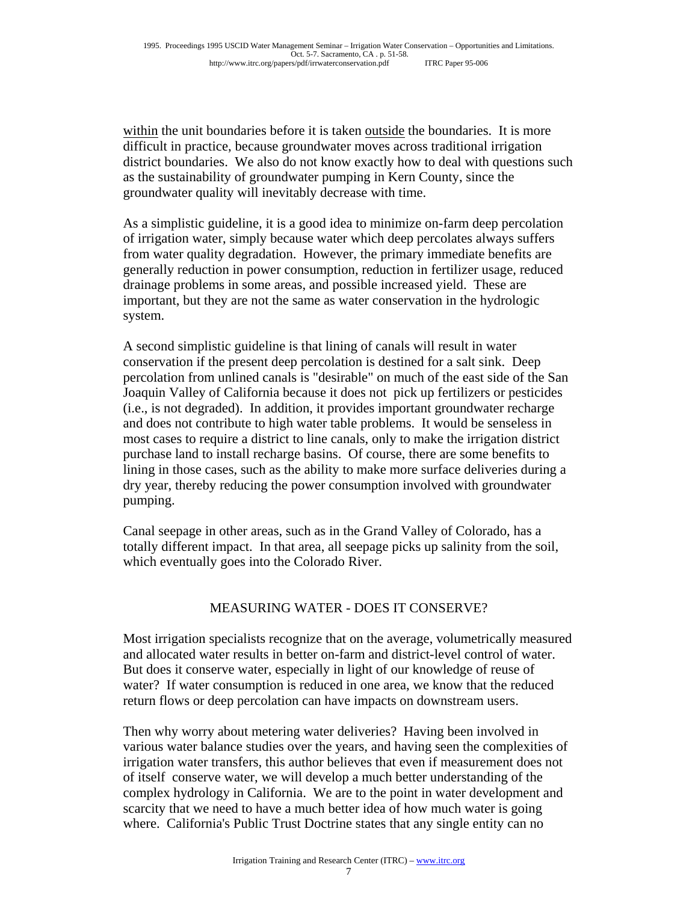within the unit boundaries before it is taken outside the boundaries. It is more difficult in practice, because groundwater moves across traditional irrigation district boundaries. We also do not know exactly how to deal with questions such as the sustainability of groundwater pumping in Kern County, since the groundwater quality will inevitably decrease with time.

As a simplistic guideline, it is a good idea to minimize on-farm deep percolation of irrigation water, simply because water which deep percolates always suffers from water quality degradation. However, the primary immediate benefits are generally reduction in power consumption, reduction in fertilizer usage, reduced drainage problems in some areas, and possible increased yield. These are important, but they are not the same as water conservation in the hydrologic system.

A second simplistic guideline is that lining of canals will result in water conservation if the present deep percolation is destined for a salt sink. Deep percolation from unlined canals is "desirable" on much of the east side of the San Joaquin Valley of California because it does not pick up fertilizers or pesticides (i.e., is not degraded). In addition, it provides important groundwater recharge and does not contribute to high water table problems. It would be senseless in most cases to require a district to line canals, only to make the irrigation district purchase land to install recharge basins. Of course, there are some benefits to lining in those cases, such as the ability to make more surface deliveries during a dry year, thereby reducing the power consumption involved with groundwater pumping.

Canal seepage in other areas, such as in the Grand Valley of Colorado, has a totally different impact. In that area, all seepage picks up salinity from the soil, which eventually goes into the Colorado River.

## MEASURING WATER - DOES IT CONSERVE?

Most irrigation specialists recognize that on the average, volumetrically measured and allocated water results in better on-farm and district-level control of water. But does it conserve water, especially in light of our knowledge of reuse of water? If water consumption is reduced in one area, we know that the reduced return flows or deep percolation can have impacts on downstream users.

Then why worry about metering water deliveries? Having been involved in various water balance studies over the years, and having seen the complexities of irrigation water transfers, this author believes that even if measurement does not of itself conserve water, we will develop a much better understanding of the complex hydrology in California. We are to the point in water development and scarcity that we need to have a much better idea of how much water is going where. California's Public Trust Doctrine states that any single entity can no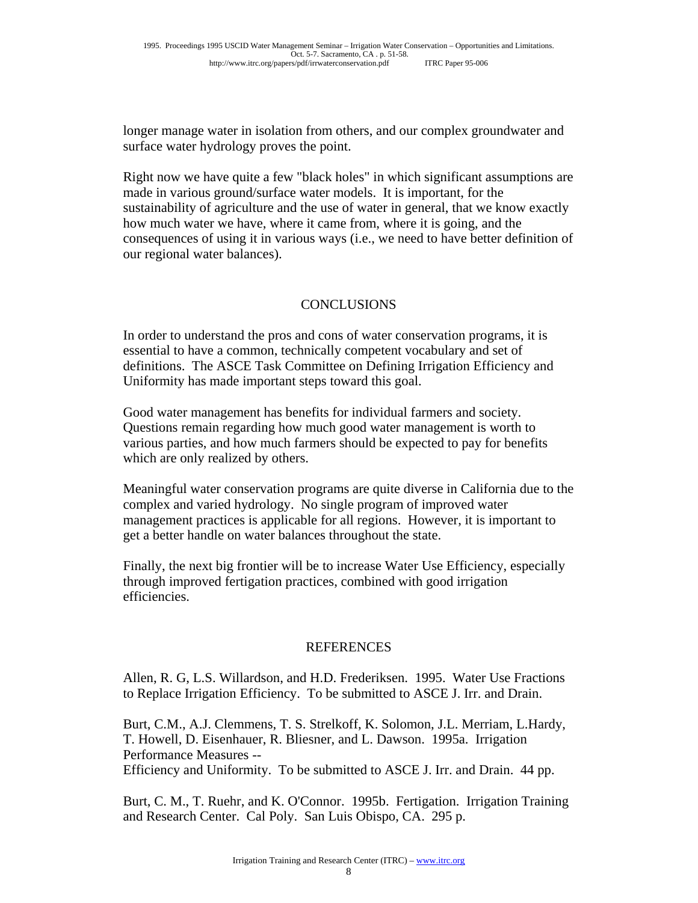longer manage water in isolation from others, and our complex groundwater and surface water hydrology proves the point.

Right now we have quite a few "black holes" in which significant assumptions are made in various ground/surface water models. It is important, for the sustainability of agriculture and the use of water in general, that we know exactly how much water we have, where it came from, where it is going, and the consequences of using it in various ways (i.e., we need to have better definition of our regional water balances).

## CONCLUSIONS

In order to understand the pros and cons of water conservation programs, it is essential to have a common, technically competent vocabulary and set of definitions. The ASCE Task Committee on Defining Irrigation Efficiency and Uniformity has made important steps toward this goal.

Good water management has benefits for individual farmers and society. Questions remain regarding how much good water management is worth to various parties, and how much farmers should be expected to pay for benefits which are only realized by others.

Meaningful water conservation programs are quite diverse in California due to the complex and varied hydrology. No single program of improved water management practices is applicable for all regions. However, it is important to get a better handle on water balances throughout the state.

Finally, the next big frontier will be to increase Water Use Efficiency, especially through improved fertigation practices, combined with good irrigation efficiencies.

#### **REFERENCES**

Allen, R. G, L.S. Willardson, and H.D. Frederiksen. 1995. Water Use Fractions to Replace Irrigation Efficiency. To be submitted to ASCE J. Irr. and Drain.

Burt, C.M., A.J. Clemmens, T. S. Strelkoff, K. Solomon, J.L. Merriam, L.Hardy, T. Howell, D. Eisenhauer, R. Bliesner, and L. Dawson. 1995a. Irrigation Performance Measures --

Efficiency and Uniformity. To be submitted to ASCE J. Irr. and Drain. 44 pp.

Burt, C. M., T. Ruehr, and K. O'Connor. 1995b. Fertigation. Irrigation Training and Research Center. Cal Poly. San Luis Obispo, CA. 295 p.